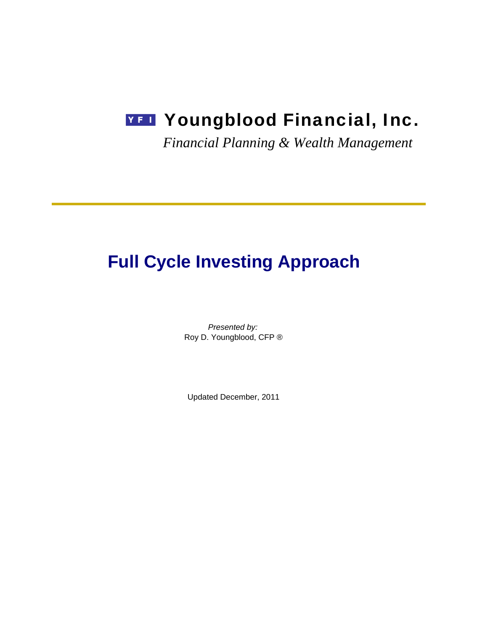# **YFI** Youngblood Financial, Inc.

*Financial Planning & Wealth Management*

# **Full Cycle Investing Approach**

*Presented by:* Roy D. Youngblood, CFP ®

Updated December, 2011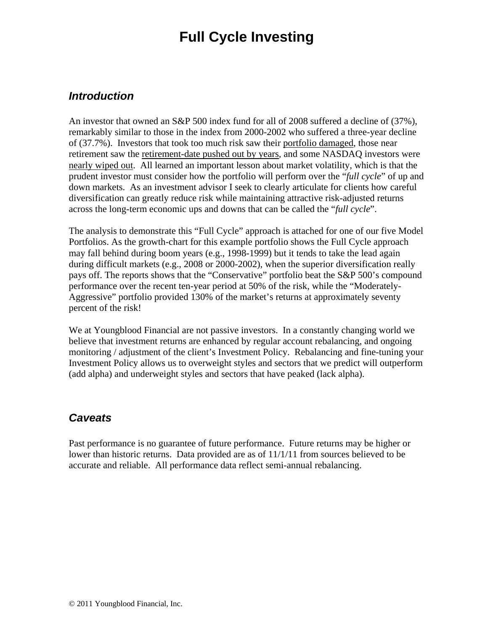## **Full Cycle Investing**

### *Introduction*

An investor that owned an S&P 500 index fund for all of 2008 suffered a decline of (37%), remarkably similar to those in the index from 2000-2002 who suffered a three-year decline of (37.7%). Investors that took too much risk saw their portfolio damaged, those near retirement saw the retirement-date pushed out by years, and some NASDAQ investors were nearly wiped out. All learned an important lesson about market volatility, which is that the prudent investor must consider how the portfolio will perform over the "*full cycle*" of up and down markets. As an investment advisor I seek to clearly articulate for clients how careful diversification can greatly reduce risk while maintaining attractive risk-adjusted returns across the long-term economic ups and downs that can be called the "*full cycle*".

The analysis to demonstrate this "Full Cycle" approach is attached for one of our five Model Portfolios. As the growth-chart for this example portfolio shows the Full Cycle approach may fall behind during boom years (e.g., 1998-1999) but it tends to take the lead again during difficult markets (e.g., 2008 or 2000-2002), when the superior diversification really pays off. The reports shows that the "Conservative" portfolio beat the S&P 500's compound performance over the recent ten-year period at 50% of the risk, while the "Moderately-Aggressive" portfolio provided 130% of the market's returns at approximately seventy percent of the risk!

We at Youngblood Financial are not passive investors. In a constantly changing world we believe that investment returns are enhanced by regular account rebalancing, and ongoing monitoring / adjustment of the client's Investment Policy. Rebalancing and fine-tuning your Investment Policy allows us to overweight styles and sectors that we predict will outperform (add alpha) and underweight styles and sectors that have peaked (lack alpha).

## *Caveats*

Past performance is no guarantee of future performance. Future returns may be higher or lower than historic returns. Data provided are as of 11/1/11 from sources believed to be accurate and reliable. All performance data reflect semi-annual rebalancing.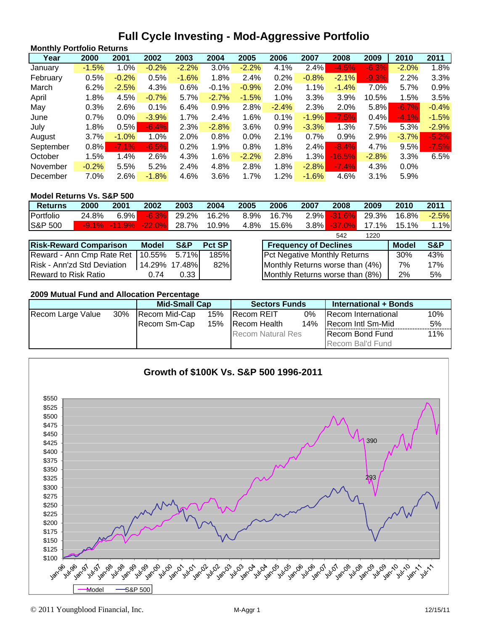## **Full Cycle Investing - Mod-Aggressive Portfolio**

| <b>Monthly Portfolio Returns</b> |         |         |         |         |         |         |         |         |          |         |         |         |
|----------------------------------|---------|---------|---------|---------|---------|---------|---------|---------|----------|---------|---------|---------|
| Year                             | 2000    | 2001    | 2002    | 2003    | 2004    | 2005    | 2006    | 2007    | 2008     | 2009    | 2010    | 2011    |
| January                          | $-1.5%$ | 1.0%    | $-0.2%$ | $-2.2%$ | 3.0%    | $-2.2%$ | 4.1%    | 2.4%    | $-4.5%$  | $-6.3%$ | $-2.0%$ | 1.8%    |
| February                         | 0.5%    | $-0.2%$ | 0.5%    | $-1.6%$ | 1.8%    | 2.4%    | 0.2%    | $-0.8%$ | $-2.1%$  | $-9.3%$ | 2.2%    | 3.3%    |
| March                            | 6.2%    | $-2.5%$ | 4.3%    | 0.6%    | $-0.1%$ | $-0.9%$ | 2.0%    | 1.1%    | $-1.4%$  | 7.0%    | 5.7%    | 0.9%    |
| April                            | 1.8%    | 4.5%    | $-0.7%$ | 5.7%    | $-2.7%$ | $-1.5%$ | $1.0\%$ | 3.3%    | 3.9%     | 10.5%   | 1.5%    | 3.5%    |
| May                              | 0.3%    | 2.6%    | 0.1%    | 6.4%    | 0.9%    | 2.8%    | $-2.4%$ | 2.3%    | 2.0%     | 5.8%    | $-6.7%$ | $-0.4%$ |
| June                             | 0.7%    | $0.0\%$ | $-3.9%$ | 1.7%    | 2.4%    | 1.6%    | 0.1%    | $-1.9%$ | $-7.5%$  | 0.4%    | $-4.1%$ | $-1.5%$ |
| July                             | 1.8%    | 0.5%    | $-6.4%$ | 2.3%    | $-2.8%$ | 3.6%    | 0.9%    | $-3.3%$ | 1.3%     | 7.5%    | 5.3%    | $-2.9%$ |
| August                           | 3.7%    | $-1.0%$ | 1.0%    | 2.0%    | 0.8%    | 0.0%    | 2.1%    | 0.7%    | 0.9%     | 2.9%    | $-3.7%$ | $-5.2%$ |
| September                        | 0.8%    | $-7.1%$ | $-6.5%$ | 0.2%    | 1.9%    | 0.8%    | 1.8%    | 2.4%    | $-8.4\%$ | 4.7%    | 9.5%    | $-7.5%$ |
| October                          | 1.5%    | 1.4%    | 2.6%    | 4.3%    | 1.6%    | $-2.2%$ | 2.8%    | 1.3%    | $-16.5%$ | $-2.8%$ | 3.3%    | 6.5%    |
| November                         | $-0.2%$ | 5.5%    | 5.2%    | 2.4%    | 4.8%    | 2.8%    | 1.8%    | $-2.8%$ | $-7.4%$  | 4.3%    | 0.0%    |         |
| December                         | 7.0%    | 2.6%    | $-1.8%$ | 4.6%    | 3.6%    | 1.7%    | 1.2%    | $-1.6%$ | 4.6%     | 3.1%    | 5.9%    |         |

#### **Model Returns Vs. S&P 500**

| <b>Returns</b>     | 2000  | 2001               | 2002     | 2003  | 2004  | 2005 | 2006  | 2007    | 2008      | 2009      | 2010  | 2011    |
|--------------------|-------|--------------------|----------|-------|-------|------|-------|---------|-----------|-----------|-------|---------|
| Portfolio          | 24.8% | $6.9\%$            | $-6.3\%$ | 29.2% | 16.2% | 8.9% | 16.7% | $2.9\%$ | $-31.6\%$ | 29.3%     | 16.8% | $-2.5%$ |
| <b>S&amp;P 500</b> |       | $-9.1\%$ $-11.9\%$ | 22.0%    | 28.7% | 10.9% | 4.8% | 15.6% | $3.8\%$ | $-37.0\%$ | $-17.1\%$ | 15.1% | - 1% i  |
|                    |       |                    |          |       |       |      |       |         | 542       | 1220      |       |         |

| <b>Risk-Reward Comparison</b>            | <b>Model</b>  | S&P  | Pct SP | <b>Frequency of Declines</b>           | <b>Model</b> | S&P |
|------------------------------------------|---------------|------|--------|----------------------------------------|--------------|-----|
| Reward - Ann Cmp Rate Ret   10.55% 5.71% |               |      | 185%   | <b>Pct Negative Monthly Returns</b>    | 30%          | 43% |
| Risk - Ann'zd Std Deviation              | 14.29% 17.48% |      | 82%    | Monthly Returns worse than (4%)        | 7%           | 17% |
| <b>IReward to Risk Ratio</b>             | 0.74          | 0.33 |        | <b>Monthly Returns worse than (8%)</b> | 2%           | 5%  |

| <b>Frequency of Declines</b>        | <b>Model</b> | S&P |
|-------------------------------------|--------------|-----|
| <b>Pct Negative Monthly Returns</b> | <b>30%</b>   | 43% |
| Monthly Returns worse than (4%)     | 7%           | 17% |
| Monthly Returns worse than (8%)     | 2%           | .5% |

#### **2009 Mutual Fund and Allocation Percentage**

|                   |        | <b>Mid-Small Cap</b> |     | <b>Sectors Funds</b>        |    | International + Bonds   |     |
|-------------------|--------|----------------------|-----|-----------------------------|----|-------------------------|-----|
| Recom Large Value | $30\%$ | Recom Mid-Cap        | 15% | <b>IRecom REIT</b>          | 0% | Recom International     | 10% |
|                   |        | 15%<br>IRecom Sm-Cap |     | 14%<br><b>IRecom Health</b> |    | Recom Intl Sm-Mid       | 5%  |
|                   |        |                      |     | <b>Recom Natural Res</b>    |    | <b>IRecom Bond Fund</b> | 11% |
|                   |        |                      |     |                             |    | Recom Bal'd Fund        |     |

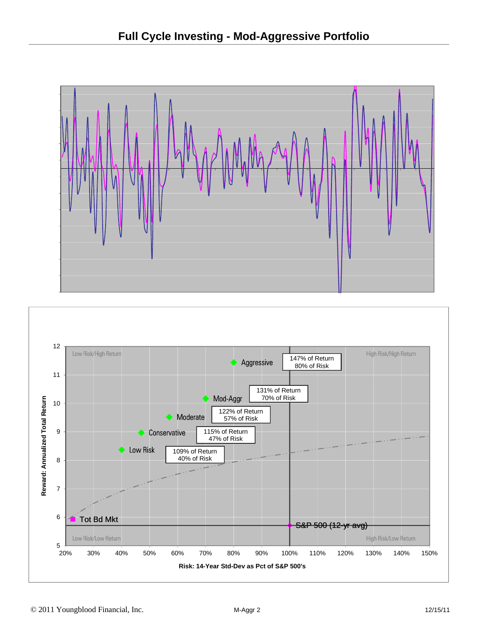